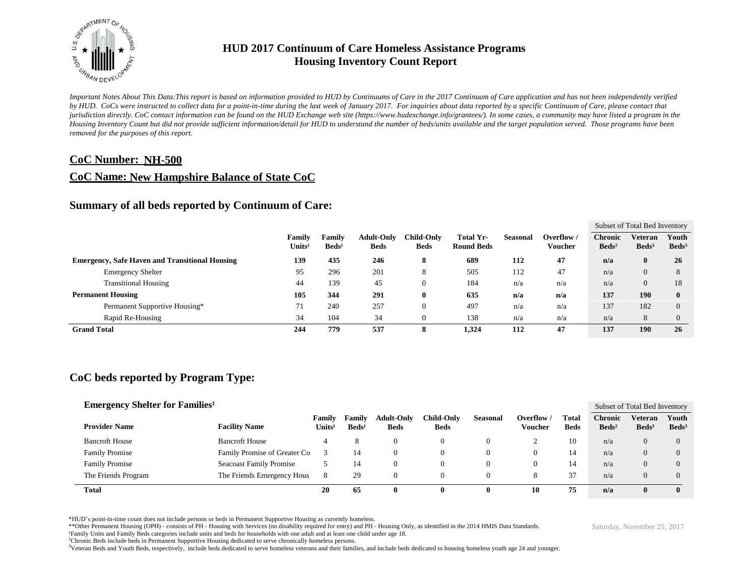

*Important Notes About This Data:This report is based on information provided to HUD by Continuums of Care in the 2017 Continuum of Care application and has not been independently verified by HUD. CoCs were instructed to collect data for a point-in-time during the last week of January 2017. For inquiries about data reported by a specific Continuum of Care, please contact that jurisdiction directly. CoC contact information can be found on the HUD Exchange web site (https://www.hudexchange.info/grantees/). In some cases, a community may have listed a program in the Housing Inventory Count but did not provide sufficient information/detail for HUD to understand the number of beds/units available and the target population served. Those programs have been removed for the purposes of this report.*

#### **CoC Number: NH-500**

#### **CoC Name: New Hampshire Balance of State CoC**

#### **Summary of all beds reported by Continuum of Care:**

|                                                       |                                     |                           |                                  |                                  |                                |          |                      |                                   | Subset of Total Bed Inventory     |                          |
|-------------------------------------------------------|-------------------------------------|---------------------------|----------------------------------|----------------------------------|--------------------------------|----------|----------------------|-----------------------------------|-----------------------------------|--------------------------|
|                                                       | <b>Family</b><br>Units <sup>1</sup> | Family<br>$\text{Beds}^1$ | <b>Adult-Only</b><br><b>Beds</b> | <b>Child-Only</b><br><b>Beds</b> | Total Yr-<br><b>Round Beds</b> | Seasonal | Overflow/<br>Voucher | <b>Chronic</b><br>$\text{Beds}^2$ | <b>Veteran</b><br>$\text{Beds}^3$ | Youth<br>$\text{Beds}^3$ |
| <b>Emergency, Safe Haven and Transitional Housing</b> | 139                                 | 435                       | 246                              | 8                                | 689                            | 112      | 47                   | n/a                               | $\bf{0}$                          | 26                       |
| <b>Emergency Shelter</b>                              | 95                                  | 296                       | 201                              | 8                                | 505                            | 112      | 47                   | n/a                               | $\overline{0}$                    | 8                        |
| <b>Transitional Housing</b>                           | 44                                  | 139                       | 45                               | $\theta$                         | 184                            | n/a      | n/a                  | n/a                               | $\overline{0}$                    | 18                       |
| <b>Permanent Housing</b>                              | 105                                 | 344                       | 291                              | $\bf{0}$                         | 635                            | n/a      | n/a                  | 137                               | 190                               | $\bf{0}$                 |
| Permanent Supportive Housing*                         | 71                                  | 240                       | 257                              | $\theta$                         | 497                            | n/a      | n/a                  | 137                               | 182                               | $\Omega$                 |
| Rapid Re-Housing                                      | 34                                  | 104                       | 34                               | $\theta$                         | 138                            | n/a      | n/a                  | n/a                               | 8                                 | $\Omega$                 |
| <b>Grand Total</b>                                    | 244                                 | 779                       | 537                              | 8                                | 1,324                          | 112      | 47                   | 137                               | 190                               | 26                       |

# **CoC beds reported by Program Type:**

| <b>Emergency Shelter for Families</b> <sup>1</sup> |                       |                                |                                     |                             |                                  |                                   |                 |                       |                      |                                     | Subset of Total Bed Inventory       |                          |
|----------------------------------------------------|-----------------------|--------------------------------|-------------------------------------|-----------------------------|----------------------------------|-----------------------------------|-----------------|-----------------------|----------------------|-------------------------------------|-------------------------------------|--------------------------|
|                                                    | <b>Provider Name</b>  | <b>Facility Name</b>           | <b>Family</b><br>Units <sup>1</sup> | Family<br>Beds <sup>1</sup> | <b>Adult-Only</b><br><b>Beds</b> | C <b>hild-Onlv</b><br><b>Beds</b> | <b>Seasonal</b> | Overflow /<br>Voucher | Total<br><b>Beds</b> | <b>Chronic</b><br>Beds <sup>2</sup> | <b>Veteran</b><br>Beds <sup>3</sup> | Youth<br>$\text{Beds}^3$ |
|                                                    | <b>Bancroft House</b> | Bancroft House                 | 4                                   | Õ                           | $\Omega$                         | 0                                 |                 |                       | 10                   | n/a                                 | 0                                   | 0                        |
|                                                    | <b>Family Promise</b> | Family Promise of Greater Co   |                                     | 14                          | $\Omega$                         | O                                 |                 | 0                     | 14                   | n/a                                 | 0                                   | 0                        |
|                                                    | <b>Family Promise</b> | <b>Seacoast Family Promise</b> |                                     | 14                          | 0                                | 0                                 |                 | 0                     | 14                   | n/a                                 | 0                                   |                          |
|                                                    | The Friends Program   | The Friends Emergency Hous     | 8                                   | 29                          | 0                                | U                                 |                 | ō                     | 37                   | n/a                                 |                                     |                          |
|                                                    | <b>Total</b>          |                                | 20                                  | 65                          | 0                                | o                                 |                 | 10                    | 75                   | n/a                                 |                                     |                          |

\*HUD's point-in-time count does not include persons or beds in Permanent Supportive Housing as currently homeless.

\*\*Other Permanent Housing (OPH) - consists of PH - Housing with Services (no disability required for entry) and PH - Housing Only, as identified in the 2014 HMIS Data Standards.

¹Family Units and Family Beds categories include units and beds for households with one adult and at least one child under age 18.

<sup>2</sup>Chronic Beds include beds in Permanent Supportive Housing dedicated to serve chronically homeless persons.

<sup>3</sup>Veteran Beds and Youth Beds, respectively, include beds dedicated to serve homeless veterans and their families, and include beds dedicated to housing homeless youth age 24 and younger.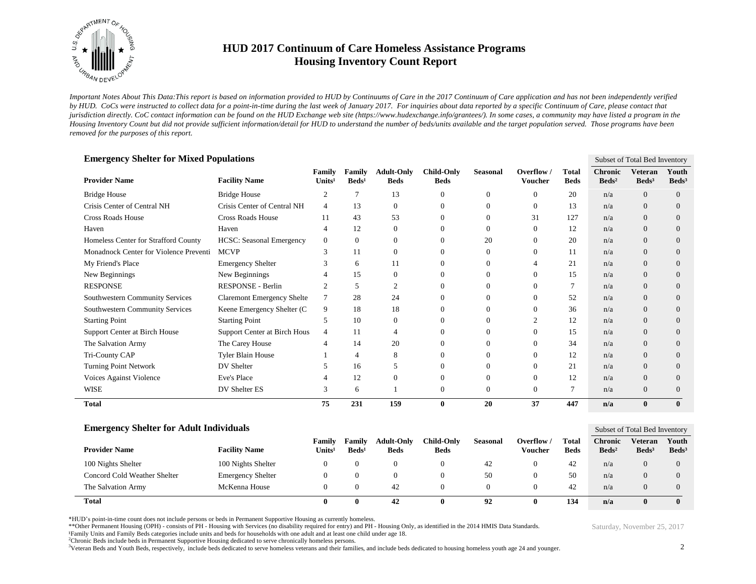

*Important Notes About This Data:This report is based on information provided to HUD by Continuums of Care in the 2017 Continuum of Care application and has not been independently verified by HUD. CoCs were instructed to collect data for a point-in-time during the last week of January 2017. For inquiries about data reported by a specific Continuum of Care, please contact that jurisdiction directly. CoC contact information can be found on the HUD Exchange web site (https://www.hudexchange.info/grantees/). In some cases, a community may have listed a program in the Housing Inventory Count but did not provide sufficient information/detail for HUD to understand the number of beds/units available and the target population served. Those programs have been removed for the purposes of this report.*

| <b>Emergency Shelter for Mixed Populations</b><br>Subset of Total Bed Inventory |                                   |                              |                           |                                  |                                  |                 |                            |                             |                                   |                              |                            |
|---------------------------------------------------------------------------------|-----------------------------------|------------------------------|---------------------------|----------------------------------|----------------------------------|-----------------|----------------------------|-----------------------------|-----------------------------------|------------------------------|----------------------------|
| <b>Provider Name</b>                                                            | <b>Facility Name</b>              | Family<br>Units <sup>1</sup> | Family<br>$\text{Beds}^1$ | <b>Adult-Only</b><br><b>Beds</b> | <b>Child-Only</b><br><b>Beds</b> | <b>Seasonal</b> | Overflow<br><b>Voucher</b> | <b>Total</b><br><b>Beds</b> | <b>Chronic</b><br>$\text{Beds}^2$ | Veteran<br>Beds <sup>3</sup> | Youth<br>Beds <sup>3</sup> |
| <b>Bridge House</b>                                                             | <b>Bridge House</b>               | $\overline{2}$               |                           | 13                               | $\Omega$                         | 0               | $\Omega$                   | 20                          | n/a                               | $\Omega$                     | $\Omega$                   |
| Crisis Center of Central NH                                                     | Crisis Center of Central NH       | $\overline{4}$               | 13                        | $\theta$                         | $\Omega$                         | 0               | $\Omega$                   | 13                          | n/a                               | $\Omega$                     | $\Omega$                   |
| <b>Cross Roads House</b>                                                        | <b>Cross Roads House</b>          | 11                           | 43                        | 53                               | $\Omega$                         | 0               | 31                         | 127                         | n/a                               | $\Omega$                     | $\Omega$                   |
| Haven                                                                           | Haven                             |                              | 12                        | $\overline{0}$                   |                                  | 0               |                            | 12                          | n/a                               | $\Omega$                     | $\theta$                   |
| Homeless Center for Strafford County                                            | <b>HCSC:</b> Seasonal Emergency   | $\overline{0}$               | $\Omega$                  | $\mathbf{0}$                     | $\Omega$                         | 20              | $\Omega$                   | 20                          | n/a                               | $\Omega$                     | $\Omega$                   |
| Monadnock Center for Violence Preventi                                          | <b>MCVP</b>                       | 3                            | 11                        | $\mathbf{0}$                     | $\Omega$                         | 0               | $\Omega$                   | 11                          | n/a                               | $\Omega$                     | $\Omega$                   |
| My Friend's Place                                                               | <b>Emergency Shelter</b>          |                              | 6                         | 11                               |                                  | 0               |                            | 21                          | n/a                               | $\Omega$                     | $\Omega$                   |
| New Beginnings                                                                  | New Beginnings                    |                              | 15                        | $\mathbf{0}$                     | $\Omega$                         | 0               | $\Omega$                   | 15                          | n/a                               | $\theta$                     | $\Omega$                   |
| <b>RESPONSE</b>                                                                 | RESPONSE - Berlin                 | $\mathfrak{D}$               | 5                         | $\overline{2}$                   | $\Omega$                         | 0               | 0                          | 7                           | n/a                               | $\Omega$                     | $\Omega$                   |
| Southwestern Community Services                                                 | <b>Claremont Emergency Shelte</b> | 7                            | 28                        | 24                               |                                  | 0               | 0                          | 52                          | n/a                               | $\overline{0}$               | $\Omega$                   |
| Southwestern Community Services                                                 | Keene Emergency Shelter (C        | 9                            | 18                        | 18                               | $\Omega$                         | 0               | $\Omega$                   | 36                          | n/a                               | $\Omega$                     | $\Omega$                   |
| <b>Starting Point</b>                                                           | <b>Starting Point</b>             | 5                            | 10                        | $\overline{0}$                   | $\Omega$                         | 0               | $\bigcap$                  | 12                          | n/a                               | $\Omega$                     | $\Omega$                   |
| Support Center at Birch House                                                   | Support Center at Birch Hous      | 4                            | 11                        |                                  |                                  | 0               | 0                          | 15                          | n/a                               | $\overline{0}$               | $\theta$                   |
| The Salvation Army                                                              | The Carey House                   |                              | 14                        | 20                               | $\Omega$                         | 0               | $\Omega$                   | 34                          | n/a                               | $\theta$                     | $\Omega$                   |
| Tri-County CAP                                                                  | <b>Tyler Blain House</b>          |                              | 4                         | 8                                | $\Omega$                         | 0               | $\Omega$                   | 12                          | n/a                               | $\Omega$                     | $\Omega$                   |
| Turning Point Network                                                           | DV Shelter                        |                              | 16                        | 5                                |                                  | 0               | $\Omega$                   | 21                          | n/a                               | $\theta$                     | $\Omega$                   |
| Voices Against Violence                                                         | Eve's Place                       |                              | 12                        | $\mathbf{0}$                     | $\Omega$                         | 0               | $\Omega$                   | 12                          | n/a                               | $\theta$                     | $\Omega$                   |
| <b>WISE</b>                                                                     | DV Shelter ES                     | 3                            | 6                         |                                  | $\Omega$                         | 0               | $\Omega$                   | 7                           | n/a                               | $\theta$                     | $\Omega$                   |
| <b>Total</b>                                                                    |                                   | 75                           | 231                       | 159                              | $\bf{0}$                         | 20              | 37                         | 447                         | n/a                               | $\mathbf{0}$                 | $\mathbf{0}$               |

| <b>Emergency Shelter for Adult Individuals</b> |                          |                              |                             |                                  |                           |                 |                     |                      |                              |                              | Subset of Total Bed Inventory |  |  |
|------------------------------------------------|--------------------------|------------------------------|-----------------------------|----------------------------------|---------------------------|-----------------|---------------------|----------------------|------------------------------|------------------------------|-------------------------------|--|--|
| <b>Provider Name</b>                           | <b>Facility Name</b>     | Family<br>Units <sup>1</sup> | Familv<br>Beds <sup>1</sup> | <b>Adult-Only</b><br><b>Beds</b> | Child-Onlv<br><b>Beds</b> | <b>Seasonal</b> | Overflow<br>Voucher | Total<br><b>Beds</b> | Chronic<br>Beds <sup>2</sup> | Veteran<br>Beds <sup>3</sup> | Youth<br>Beds <sup>3</sup>    |  |  |
| 100 Nights Shelter                             | 100 Nights Shelter       | $^{(1)}$                     |                             |                                  | $^{0}$                    | 42              |                     | 42                   | n/a                          |                              |                               |  |  |
| Concord Cold Weather Shelter                   | <b>Emergency Shelter</b> | $^{(1)}$                     |                             |                                  | 0                         | 50              |                     | 50                   | n/a                          |                              |                               |  |  |
| The Salvation Army                             | McKenna House            | $\theta$                     |                             | 42                               | 0                         |                 |                     | 42                   | n/a                          |                              |                               |  |  |
| <b>Total</b>                                   |                          |                              | 0                           | 42                               | O                         | 92              |                     | 134                  | n/a                          |                              |                               |  |  |

\*HUD's point-in-time count does not include persons or beds in Permanent Supportive Housing as currently homeless.

\*\*Other Permanent Housing (OPH) - consists of PH - Housing with Services (no disability required for entry) and PH - Housing Only, as identified in the 2014 HMIS Data Standards.

¹Family Units and Family Beds categories include units and beds for households with one adult and at least one child under age 18.

<sup>2</sup>Chronic Beds include beds in Permanent Supportive Housing dedicated to serve chronically homeless persons.

<sup>3</sup>Veteran Beds and Youth Beds, respectively, include beds dedicated to serve homeless veterans and their families, and include beds dedicated to housing homeless youth age 24 and younger.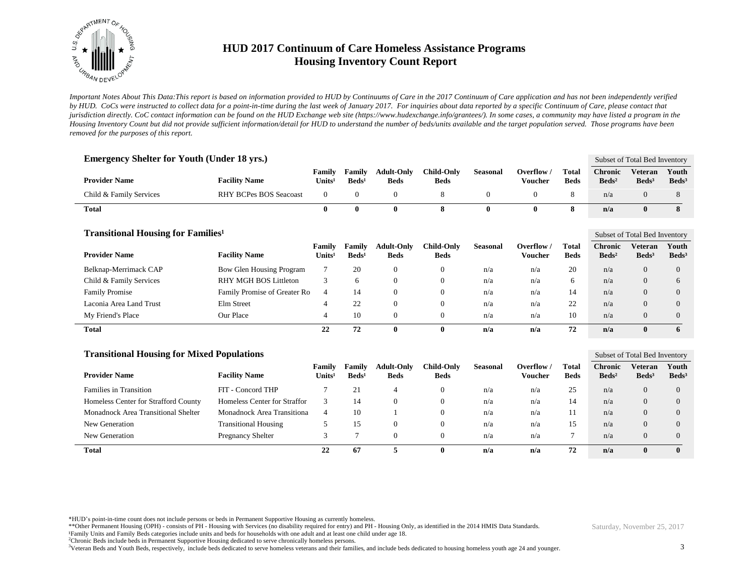

*Important Notes About This Data:This report is based on information provided to HUD by Continuums of Care in the 2017 Continuum of Care application and has not been independently verified by HUD. CoCs were instructed to collect data for a point-in-time during the last week of January 2017. For inquiries about data reported by a specific Continuum of Care, please contact that jurisdiction directly. CoC contact information can be found on the HUD Exchange web site (https://www.hudexchange.info/grantees/). In some cases, a community may have listed a program in the Housing Inventory Count but did not provide sufficient information/detail for HUD to understand the number of beds/units available and the target population served. Those programs have been removed for the purposes of this report.*

| <b>Emergency Shelter for Youth (Under 18 yrs.)</b>   |                                 |                              |                           |                                  |                                  |                  |                              |                             |                                   | Subset of Total Bed Inventory                   |                            |
|------------------------------------------------------|---------------------------------|------------------------------|---------------------------|----------------------------------|----------------------------------|------------------|------------------------------|-----------------------------|-----------------------------------|-------------------------------------------------|----------------------------|
| <b>Provider Name</b>                                 | <b>Facility Name</b>            | Family<br>Units <sup>1</sup> | Family<br>$\text{Beds}^1$ | <b>Adult-Only</b><br><b>Beds</b> | <b>Child-Only</b><br><b>Beds</b> | <b>Seasonal</b>  | Overflow /<br><b>Voucher</b> | <b>Total</b><br><b>Beds</b> | <b>Chronic</b><br>$\text{Beds}^2$ | Veteran<br>Beds <sup>3</sup>                    | Youth<br>Beds <sup>3</sup> |
| Child & Family Services                              | <b>RHY BCPes BOS Seacoast</b>   | $\mathbf{0}$                 | $\mathbf{0}$              | $\mathbf{0}$                     | 8                                | $\boldsymbol{0}$ | $\theta$                     | 8                           | n/a                               | $\theta$                                        | 8                          |
| <b>Total</b>                                         |                                 | $\bf{0}$                     | $\bf{0}$                  | $\bf{0}$                         | 8                                | $\mathbf{0}$     | $\mathbf{0}$                 | 8                           | n/a                               | $\mathbf{0}$                                    | 8                          |
| <b>Transitional Housing for Families<sup>1</sup></b> |                                 | Family                       | Family                    | <b>Adult-Only</b>                | <b>Child-Only</b>                | <b>Seasonal</b>  | Overflow /                   | <b>Total</b>                | <b>Chronic</b>                    | Subset of Total Bed Inventory<br><b>Veteran</b> | Youth                      |
| <b>Provider Name</b>                                 | <b>Facility Name</b>            | Units <sup>1</sup>           | Beds <sup>1</sup>         | <b>Beds</b>                      | <b>Beds</b>                      |                  | <b>Voucher</b>               | <b>Beds</b>                 | Beds <sup>2</sup>                 | Beds <sup>3</sup>                               | Beds <sup>3</sup>          |
| Belknap-Merrimack CAP                                | <b>Bow Glen Housing Program</b> | 7                            | 20                        | $\overline{0}$                   | $\mathbf{0}$                     | n/a              | n/a                          | 20                          | n/a                               | $\Omega$                                        | $\Omega$                   |
| Child & Family Services                              | RHY MGH BOS Littleton           | 3                            | 6                         | $\mathbf{0}$                     | $\mathbf{0}$                     | n/a              | n/a                          | 6                           | n/a                               | $\overline{0}$                                  | 6                          |
| <b>Family Promise</b>                                | Family Promise of Greater Ro    | $\overline{4}$               | 14                        | $\mathbf{0}$                     | $\theta$                         | n/a              | n/a                          | 14                          | n/a                               | $\overline{0}$                                  | $\overline{0}$             |
| Laconia Area Land Trust                              | Elm Street                      | $\overline{4}$               | 22                        | $\overline{0}$                   | $\overline{0}$                   | n/a              | n/a                          | 22                          | n/a                               | $\overline{0}$                                  | $\Omega$                   |
| My Friend's Place                                    | Our Place                       | $\overline{4}$               | 10                        | $\boldsymbol{0}$                 | $\overline{0}$                   | n/a              | n/a                          | 10                          | n/a                               | $\theta$                                        | $\overline{0}$             |
| <b>Total</b>                                         |                                 | 22                           | 72                        | $\bf{0}$                         | $\bf{0}$                         | n/a              | n/a                          | 72                          | n/a                               | $\bf{0}$                                        | 6                          |
| <b>Transitional Housing for Mixed Populations</b>    |                                 |                              |                           |                                  |                                  |                  |                              |                             |                                   | Subset of Total Bed Inventory                   |                            |
| <b>Provider Name</b>                                 | <b>Facility Name</b>            | Family<br>Units <sup>1</sup> | Family<br>$\text{Beds}^1$ | <b>Adult-Only</b><br><b>Beds</b> | <b>Child-Only</b><br><b>Beds</b> | <b>Seasonal</b>  | Overflow /<br><b>Voucher</b> | <b>Total</b><br><b>Beds</b> | <b>Chronic</b><br>$\text{Beds}^2$ | <b>Veteran</b><br>Beds <sup>3</sup>             | Youth<br>Beds <sup>3</sup> |
| <b>Families in Transition</b>                        | FIT - Concord THP               | 7                            | 21                        | $\overline{4}$                   | $\mathbf{0}$                     | n/a              | n/a                          | 25                          | n/a                               | $\overline{0}$                                  | $\overline{0}$             |
| Homeless Center for Strafford County                 | Homeless Center for Straffor    | 3                            | 14                        | $\mathbf{0}$                     | $\overline{0}$                   | n/a              | n/a                          | 14                          | n/a                               | $\overline{0}$                                  | $\overline{0}$             |
| Monadnock Area Transitional Shelter                  | Monadnock Area Transitiona      | $\overline{4}$               | 10                        |                                  | $\overline{0}$                   | n/a              | n/a                          | 11                          | n/a                               | $\theta$                                        | $\overline{0}$             |
| New Generation                                       | <b>Transitional Housing</b>     | 5                            | 15                        | $\mathbf{0}$                     | $\mathbf{0}$                     | n/a              | n/a                          | 15                          | n/a                               | $\Omega$                                        | $\overline{0}$             |
| New Generation                                       | Pregnancy Shelter               | 3                            | 7                         | $\theta$                         | $\mathbf{0}$                     | n/a              | n/a                          | $\tau$                      | n/a                               | $\theta$                                        | $\overline{0}$             |
| <b>Total</b>                                         |                                 | 22                           | 67                        | 5                                | $\mathbf{0}$                     | n/a              | n/a                          | 72                          | n/a                               | $\bf{0}$                                        | $\mathbf{0}$               |

\*HUD's point-in-time count does not include persons or beds in Permanent Supportive Housing as currently homeless.

\*\*Other Permanent Housing (OPH) - consists of PH - Housing with Services (no disability required for entry) and PH - Housing Only, as identified in the 2014 HMIS Data Standards.

¹Family Units and Family Beds categories include units and beds for households with one adult and at least one child under age 18.

<sup>2</sup>Chronic Beds include beds in Permanent Supportive Housing dedicated to serve chronically homeless persons.

<sup>3</sup>Veteran Beds and Youth Beds, respectively, include beds dedicated to serve homeless veterans and their families, and include beds dedicated to housing homeless youth age 24 and younger.

3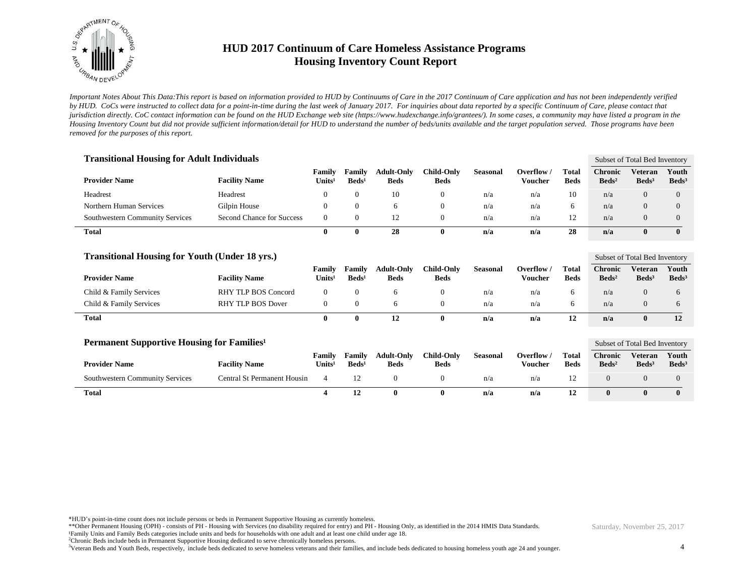

*Important Notes About This Data:This report is based on information provided to HUD by Continuums of Care in the 2017 Continuum of Care application and has not been independently verified by HUD. CoCs were instructed to collect data for a point-in-time during the last week of January 2017. For inquiries about data reported by a specific Continuum of Care, please contact that jurisdiction directly. CoC contact information can be found on the HUD Exchange web site (https://www.hudexchange.info/grantees/). In some cases, a community may have listed a program in the Housing Inventory Count but did not provide sufficient information/detail for HUD to understand the number of beds/units available and the target population served. Those programs have been removed for the purposes of this report.*

| <b>Transitional Housing for Adult Individuals</b> | Subset of Total Bed Inventory |                              |                           |                                  |                                  |                 |                       |                      |                                   |                              |                            |
|---------------------------------------------------|-------------------------------|------------------------------|---------------------------|----------------------------------|----------------------------------|-----------------|-----------------------|----------------------|-----------------------------------|------------------------------|----------------------------|
| <b>Provider Name</b>                              | <b>Facility Name</b>          | Family<br>Units <sup>1</sup> | Family<br>$\text{Beds}^1$ | <b>Adult-Only</b><br><b>Beds</b> | <b>Child-Only</b><br><b>Beds</b> | <b>Seasonal</b> | Overflow /<br>Voucher | Total<br><b>Beds</b> | <b>Chronic</b><br>$\text{Beds}^2$ | Veteran<br>Beds <sup>3</sup> | Youth<br>Beds <sup>3</sup> |
| Headrest                                          | Headrest                      | $\theta$                     | $\overline{0}$            | 10                               |                                  | n/a             | n/a                   | 10                   | n/a                               | 0                            | $\Omega$                   |
| Northern Human Services                           | Gilpin House                  | $\theta$                     | 0                         |                                  |                                  | n/a             | n/a                   | 6                    | n/a                               | 0                            | $\Omega$                   |
| Southwestern Community Services                   | Second Chance for Success     | $\Omega$                     | 0                         |                                  |                                  | n/a             | n/a                   | 12                   | n/a                               | $\Omega$                     | $\Omega$                   |
| <b>Total</b>                                      |                               | 0                            | 0                         | 28                               | 0                                | n/a             | n/a                   | 28                   | n/a                               | $\bf{0}$                     | $\mathbf{0}$               |

| <b>Transitional Housing for Youth (Under 18 yrs.)</b> | Subset of Total Bed Inventory |                              |                           |                                  |                           |          |                       |                             |                                   |                            |                          |
|-------------------------------------------------------|-------------------------------|------------------------------|---------------------------|----------------------------------|---------------------------|----------|-----------------------|-----------------------------|-----------------------------------|----------------------------|--------------------------|
| <b>Provider Name</b>                                  | <b>Facility Name</b>          | Family<br>Units <sup>1</sup> | Family<br>$\text{Beds}^1$ | <b>Adult-Only</b><br><b>Beds</b> | Child-Onlv<br><b>Beds</b> | Seasonal | Overflow /<br>Voucher | <b>Total</b><br><b>Beds</b> | <b>Chronic</b><br>$\text{Beds}^2$ | Veteran<br>$\text{Beds}^3$ | Youth<br>$\text{Beds}^3$ |
| Child & Family Services                               | <b>RHY TLP BOS Concord</b>    |                              |                           |                                  |                           | n/a      | n/a                   |                             | n/a                               |                            |                          |
| Child & Family Services                               | RHY TLP BOS Dover             |                              |                           |                                  |                           | n/a      | n/a                   |                             | n/a                               |                            |                          |
| <b>Total</b>                                          |                               |                              |                           |                                  | 0                         | n/a      | n/a                   | 12                          | n/a                               |                            | 12                       |

| Permanent Supportive Housing for Families <sup>1</sup> | Subset of Total Bed Inventory |                              |                             |                                  |                           |          |                       |                             |                                     |                                   |                          |
|--------------------------------------------------------|-------------------------------|------------------------------|-----------------------------|----------------------------------|---------------------------|----------|-----------------------|-----------------------------|-------------------------------------|-----------------------------------|--------------------------|
| <b>Provider Name</b>                                   | <b>Facility Name</b>          | Family<br>Units <sup>1</sup> | Family<br>Beds <sup>1</sup> | <b>Adult-Only</b><br><b>Beds</b> | <b>Child-Only</b><br>Beds | Seasonal | Overflow /<br>Voucher | <b>Total</b><br><b>Beds</b> | <b>Chronic</b><br>Beds <sup>2</sup> | <b>Veteran</b><br>$\text{Beds}^3$ | Youth<br>$\text{Beds}^3$ |
| <b>Southwestern Community Services</b>                 | Central St Permanent Housin   |                              |                             |                                  |                           | n/a      | n/a                   |                             |                                     |                                   |                          |
| <b>Total</b>                                           |                               |                              |                             |                                  |                           | n/a      | n/a                   | 12                          |                                     |                                   |                          |

\*HUD's point-in-time count does not include persons or beds in Permanent Supportive Housing as currently homeless.

\*\*Other Permanent Housing (OPH) - consists of PH - Housing with Services (no disability required for entry) and PH - Housing Only, as identified in the 2014 HMIS Data Standards.

¹Family Units and Family Beds categories include units and beds for households with one adult and at least one child under age 18.

<sup>2</sup>Chronic Beds include beds in Permanent Supportive Housing dedicated to serve chronically homeless persons.

<sup>3</sup>Veteran Beds and Youth Beds, respectively, include beds dedicated to serve homeless veterans and their families, and include beds dedicated to housing homeless youth age 24 and younger.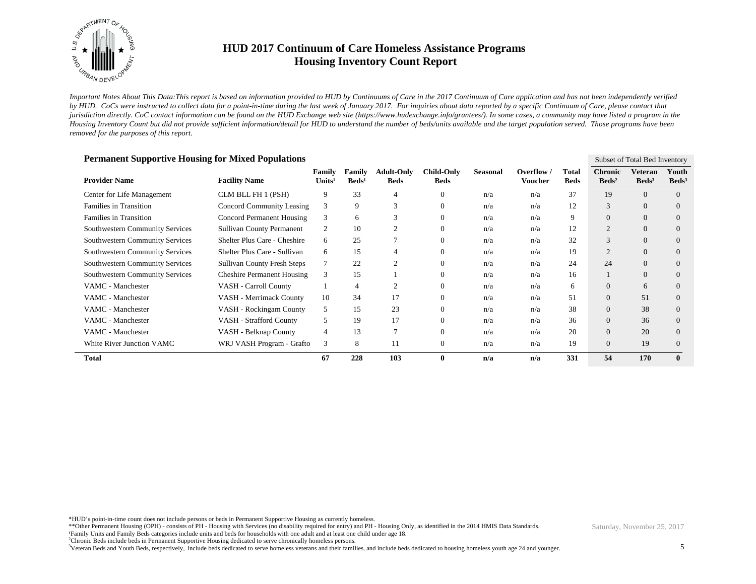

*Important Notes About This Data:This report is based on information provided to HUD by Continuums of Care in the 2017 Continuum of Care application and has not been independently verified by HUD. CoCs were instructed to collect data for a point-in-time during the last week of January 2017. For inquiries about data reported by a specific Continuum of Care, please contact that jurisdiction directly. CoC contact information can be found on the HUD Exchange web site (https://www.hudexchange.info/grantees/). In some cases, a community may have listed a program in the Housing Inventory Count but did not provide sufficient information/detail for HUD to understand the number of beds/units available and the target population served. Those programs have been removed for the purposes of this report.*

| <b>Permanent Supportive Housing for Mixed Populations</b><br>Subset of Total Bed Inventory |                                    |                              |                           |                                  |                                  |                 |                       |                      |                                   |                              |                            |  |  |
|--------------------------------------------------------------------------------------------|------------------------------------|------------------------------|---------------------------|----------------------------------|----------------------------------|-----------------|-----------------------|----------------------|-----------------------------------|------------------------------|----------------------------|--|--|
| <b>Provider Name</b>                                                                       | <b>Facility Name</b>               | Family<br>Units <sup>1</sup> | Family<br>$\text{Beds}^1$ | <b>Adult-Only</b><br><b>Beds</b> | <b>Child-Only</b><br><b>Beds</b> | <b>Seasonal</b> | Overflow /<br>Voucher | Total<br><b>Beds</b> | <b>Chronic</b><br>$\text{Beds}^2$ | Veteran<br>Beds <sup>3</sup> | Youth<br>Beds <sup>3</sup> |  |  |
| Center for Life Management                                                                 | CLM BLL FH 1 (PSH)                 | 9                            | 33                        | 4                                | $\overline{0}$                   | n/a             | n/a                   | 37                   | 19                                | $\Omega$                     | $\Omega$                   |  |  |
| <b>Families in Transition</b>                                                              | Concord Community Leasing          | 3                            | 9                         | 3                                | $\Omega$                         | n/a             | n/a                   | 12                   | 3                                 | $\Omega$                     | $\Omega$                   |  |  |
| Families in Transition                                                                     | <b>Concord Permanent Housing</b>   | 3                            | 6                         | 3                                | $\Omega$                         | n/a             | n/a                   | 9                    | $\Omega$                          | $\Omega$                     | $\Omega$                   |  |  |
| <b>Southwestern Community Services</b>                                                     | <b>Sullivan County Permanent</b>   | 2                            | 10                        | $\overline{2}$                   | $\Omega$                         | n/a             | n/a                   | 12                   | $\overline{2}$                    | $\overline{0}$               | $\Omega$                   |  |  |
| <b>Southwestern Community Services</b>                                                     | Shelter Plus Care - Cheshire       | 6                            | 25                        |                                  | $\Omega$                         | n/a             | n/a                   | 32                   | 3                                 | $\Omega$                     | $\Omega$                   |  |  |
| <b>Southwestern Community Services</b>                                                     | Shelter Plus Care - Sullivan       | 6                            | 15                        |                                  | $\Omega$                         | n/a             | n/a                   | 19                   | $\overline{2}$                    | $\Omega$                     | $\Omega$                   |  |  |
| <b>Southwestern Community Services</b>                                                     | <b>Sullivan County Fresh Steps</b> | 7                            | 22                        | $\overline{2}$                   | $\Omega$                         | n/a             | n/a                   | 24                   | 24                                | $\Omega$                     | $\Omega$                   |  |  |
| <b>Southwestern Community Services</b>                                                     | <b>Cheshire Permanent Housing</b>  | 3                            | 15                        |                                  | $\Omega$                         | n/a             | n/a                   | 16                   |                                   | $\Omega$                     | $\Omega$                   |  |  |
| VAMC - Manchester                                                                          | VASH - Carroll County              |                              | 4                         | $\overline{2}$                   | $\Omega$                         | n/a             | n/a                   | 6                    | $\overline{0}$                    | 6                            | $\Omega$                   |  |  |
| VAMC - Manchester                                                                          | VASH - Merrimack County            | 10                           | 34                        | 17                               |                                  | n/a             | n/a                   | 51                   | $\overline{0}$                    | 51                           | $\Omega$                   |  |  |
| VAMC - Manchester                                                                          | VASH - Rockingam County            | 5                            | 15                        | 23                               |                                  | n/a             | n/a                   | 38                   | $\theta$                          | 38                           | $\Omega$                   |  |  |
| VAMC - Manchester                                                                          | VASH - Strafford County            | 5                            | 19                        | 17                               | $\Omega$                         | n/a             | n/a                   | 36                   | $\overline{0}$                    | 36                           | $\Omega$                   |  |  |
| VAMC - Manchester                                                                          | VASH - Belknap County              | 4                            | 13                        |                                  | $\mathbf{0}$                     | n/a             | n/a                   | 20                   | $\overline{0}$                    | 20                           | $\Omega$                   |  |  |
| White River Junction VAMC                                                                  | WRJ VASH Program - Grafto          | 3                            | 8                         | 11                               | $\mathbf{0}$                     | n/a             | n/a                   | 19                   | $\theta$                          | 19                           | $\Omega$                   |  |  |
| <b>Total</b>                                                                               |                                    | 67                           | 228                       | 103                              | 0                                | n/a             | n/a                   | 331                  | 54                                | 170                          | $\mathbf{0}$               |  |  |

\*HUD's point-in-time count does not include persons or beds in Permanent Supportive Housing as currently homeless.

\*\*Other Permanent Housing (OPH) - consists of PH - Housing with Services (no disability required for entry) and PH - Housing Only, as identified in the 2014 HMIS Data Standards.

¹Family Units and Family Beds categories include units and beds for households with one adult and at least one child under age 18.

<sup>2</sup>Chronic Beds include beds in Permanent Supportive Housing dedicated to serve chronically homeless persons.

<sup>3</sup>Veteran Beds and Youth Beds, respectively, include beds dedicated to serve homeless veterans and their families, and include beds dedicated to housing homeless youth age 24 and younger.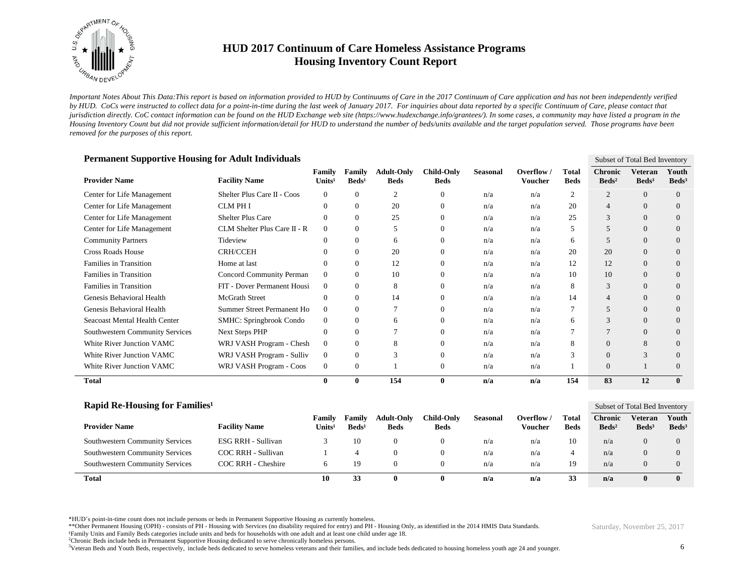

*Important Notes About This Data:This report is based on information provided to HUD by Continuums of Care in the 2017 Continuum of Care application and has not been independently verified by HUD. CoCs were instructed to collect data for a point-in-time during the last week of January 2017. For inquiries about data reported by a specific Continuum of Care, please contact that jurisdiction directly. CoC contact information can be found on the HUD Exchange web site (https://www.hudexchange.info/grantees/). In some cases, a community may have listed a program in the Housing Inventory Count but did not provide sufficient information/detail for HUD to understand the number of beds/units available and the target population served. Those programs have been removed for the purposes of this report.*

| <b>Permanent Supportive Housing for Adult Individuals</b><br>Subset of Total Bed Inventory |                                |                                     |                           |                                  |                                  |                 |                            |                      |                                   |                                     |                          |  |  |
|--------------------------------------------------------------------------------------------|--------------------------------|-------------------------------------|---------------------------|----------------------------------|----------------------------------|-----------------|----------------------------|----------------------|-----------------------------------|-------------------------------------|--------------------------|--|--|
| <b>Provider Name</b>                                                                       | <b>Facility Name</b>           | <b>Family</b><br>Units <sup>1</sup> | Family<br>$\text{Beds}^1$ | <b>Adult-Only</b><br><b>Beds</b> | <b>Child-Only</b><br><b>Beds</b> | <b>Seasonal</b> | Overflow<br><b>Voucher</b> | Total<br><b>Beds</b> | <b>Chronic</b><br>$\text{Beds}^2$ | <b>Veteran</b><br>Beds <sup>3</sup> | Youth<br>$\text{Beds}^3$ |  |  |
| Center for Life Management                                                                 | Shelter Plus Care II - Coos    | $\overline{0}$                      | $\Omega$                  | 2                                | $\theta$                         | n/a             | n/a                        | $\overline{2}$       | $\overline{2}$                    | $\theta$                            | $\Omega$                 |  |  |
| Center for Life Management                                                                 | <b>CLM PHI</b>                 | $\theta$                            | $\overline{0}$            | 20                               | $\mathbf{0}$                     | n/a             | n/a                        | 20                   | $\overline{4}$                    | $\Omega$                            | $\Omega$                 |  |  |
| Center for Life Management                                                                 | <b>Shelter Plus Care</b>       | $\theta$                            | $\overline{0}$            | 25                               | $\mathbf{0}$                     | n/a             | n/a                        | 25                   | 3                                 | $\theta$                            | $\theta$                 |  |  |
| Center for Life Management                                                                 | CLM Shelter Plus Care II - R   | $\overline{0}$                      | $\overline{0}$            | 5                                | $\mathbf{0}$                     | n/a             | n/a                        | 5                    | 5                                 | $\overline{0}$                      | $\Omega$                 |  |  |
| <b>Community Partners</b>                                                                  | Tideview                       | $\Omega$                            | $\Omega$                  | 6                                | $\Omega$                         | n/a             | n/a                        | 6                    | 5                                 | $\Omega$                            | $\Omega$                 |  |  |
| <b>Cross Roads House</b>                                                                   | <b>CRH/CCEH</b>                | $\Omega$                            | 0                         | 20                               | $\mathbf{0}$                     | n/a             | n/a                        | 20                   | 20                                | $\Omega$                            | $\Omega$                 |  |  |
| Families in Transition                                                                     | Home at last                   | $\theta$                            | $\overline{0}$            | 12                               | $\mathbf{0}$                     | n/a             | n/a                        | 12                   | 12                                | $\theta$                            | $\Omega$                 |  |  |
| Families in Transition                                                                     | Concord Community Perman       | $\theta$                            | $\overline{0}$            | 10                               | $\mathbf{0}$                     | n/a             | n/a                        | 10                   | 10                                | $\theta$                            | $\overline{0}$           |  |  |
| <b>Families in Transition</b>                                                              | FIT - Dover Permanent Housi    | $\overline{0}$                      | $\Omega$                  | 8                                | $\Omega$                         | n/a             | n/a                        | 8                    | 3                                 | $\Omega$                            | $\Omega$                 |  |  |
| Genesis Behavioral Health                                                                  | <b>McGrath Street</b>          | $\overline{0}$                      | $\Omega$                  | 14                               | $\Omega$                         | n/a             | n/a                        | 14                   | $\overline{4}$                    | $\Omega$                            | $\Omega$                 |  |  |
| Genesis Behavioral Health                                                                  | Summer Street Permanent Ho     | $\overline{0}$                      | $\overline{0}$            | 7                                | $\mathbf{0}$                     | n/a             | n/a                        | 7                    | 5                                 | $\theta$                            | $\Omega$                 |  |  |
| Seacoast Mental Health Center                                                              | <b>SMHC: Springbrook Condo</b> | $\overline{0}$                      | $\overline{0}$            | 6                                | $\mathbf{0}$                     | n/a             | n/a                        | 6                    | 3                                 | $\theta$                            | $\theta$                 |  |  |
| Southwestern Community Services                                                            | <b>Next Steps PHP</b>          | $\theta$                            | $\Omega$                  | $\overline{7}$                   | $\Omega$                         | n/a             | n/a                        | 7                    | $\overline{7}$                    | $\Omega$                            | $\Omega$                 |  |  |
| White River Junction VAMC                                                                  | WRJ VASH Program - Chesh       | $\overline{0}$                      | $\Omega$                  | 8                                | $\Omega$                         | n/a             | n/a                        | 8                    | $\mathbf{0}$                      | 8                                   | $\Omega$                 |  |  |
| White River Junction VAMC                                                                  | WRJ VASH Program - Sulliv      | $\overline{0}$                      | $\overline{0}$            | 3                                | $\theta$                         | n/a             | n/a                        | 3                    | $\mathbf{0}$                      | $\mathcal{R}$                       | $\Omega$                 |  |  |
| White River Junction VAMC                                                                  | WRJ VASH Program - Coos        | $\mathbf{0}$                        | $\overline{0}$            |                                  | $\theta$                         | n/a             | n/a                        | 1                    | $\mathbf{0}$                      |                                     | $\overline{0}$           |  |  |
| <b>Total</b>                                                                               |                                | $\bf{0}$                            | 0                         | 154                              | $\bf{0}$                         | n/a             | n/a                        | 154                  | 83                                | 12                                  | $\mathbf{0}$             |  |  |
| Rapid Re-Housing for Families <sup>1</sup>                                                 |                                |                                     |                           |                                  |                                  |                 |                            |                      |                                   | Subset of Total Bed Inventory       |                          |  |  |
|                                                                                            |                                | Family                              | Family                    | Adult-Only                       | Child-Only                       | Seasonal        | Overflow /                 | Total                | <b>Chronic</b>                    | Veteran Youth                       |                          |  |  |

| _____<br>$\overline{\phantom{a}}$      |                      |                         |                           |                                  |                           |          |                     |                             | 50000000120001200011001001        |                                   |                            |
|----------------------------------------|----------------------|-------------------------|---------------------------|----------------------------------|---------------------------|----------|---------------------|-----------------------------|-----------------------------------|-----------------------------------|----------------------------|
| <b>Provider Name</b>                   | <b>Facility Name</b> | Family<br>$\bf Units^1$ | Family<br>$\text{Beds}^1$ | <b>Adult-Only</b><br><b>Beds</b> | Child-Onlv<br><b>Beds</b> | Seasonal | Overflow<br>Voucher | <b>Total</b><br><b>Beds</b> | <b>Chronic</b><br>$\text{Beds}^2$ | <b>Veteran</b><br>$\text{Beds}^3$ | Youth<br>Beds <sup>3</sup> |
| <b>Southwestern Community Services</b> | ESG RRH - Sullivan   |                         | 10                        |                                  |                           | n/a      | n/a                 | 10                          | n/a                               | $\theta$                          |                            |
| Southwestern Community Services        | COC RRH - Sullivan   |                         |                           |                                  |                           | n/a      | n/a                 |                             | n/a                               | 0                                 |                            |
| <b>Southwestern Community Services</b> | COC RRH - Cheshire   | h.                      | 19                        |                                  |                           | n/a      | n/a                 | 19                          | n/a                               | $\theta$                          |                            |
| <b>Total</b>                           |                      | 10                      | 33                        |                                  | 0                         | n/a      | n/a                 | 33                          | n/a                               | 0                                 |                            |

\*HUD's point-in-time count does not include persons or beds in Permanent Supportive Housing as currently homeless.

\*\*Other Permanent Housing (OPH) - consists of PH - Housing with Services (no disability required for entry) and PH - Housing Only, as identified in the 2014 HMIS Data Standards.

¹Family Units and Family Beds categories include units and beds for households with one adult and at least one child under age 18.

<sup>2</sup>Chronic Beds include beds in Permanent Supportive Housing dedicated to serve chronically homeless persons.

<sup>3</sup>Veteran Beds and Youth Beds, respectively, include beds dedicated to serve homeless veterans and their families, and include beds dedicated to housing homeless youth age 24 and younger.